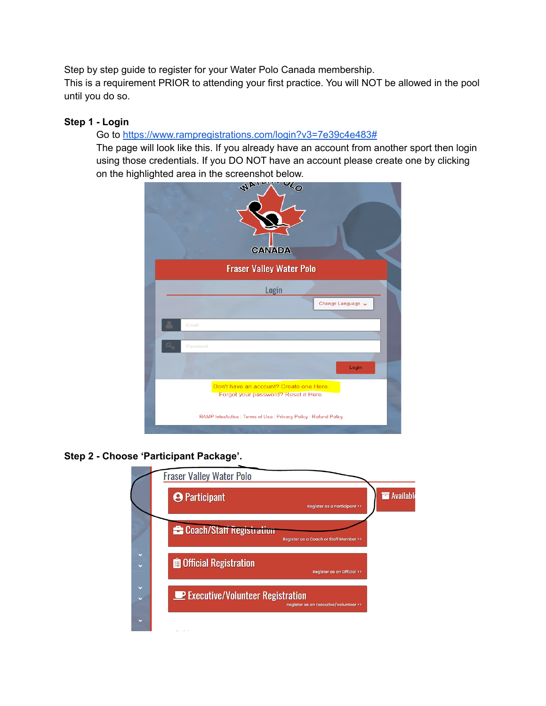Step by step guide to register for your Water Polo Canada membership.

This is a requirement PRIOR to attending your first practice. You will NOT be allowed in the pool until you do so.

# **Step 1 - Login**

# Go to <https://www.rampregistrations.com/login?v3=7e39c4e483#>

The page will look like this. If you already have an account from another sport then login using those credentials. If you DO NOT have an account please create one by clicking on the highlighted area in the screenshot below.



**Step 2 - Choose 'Participant Package'.**

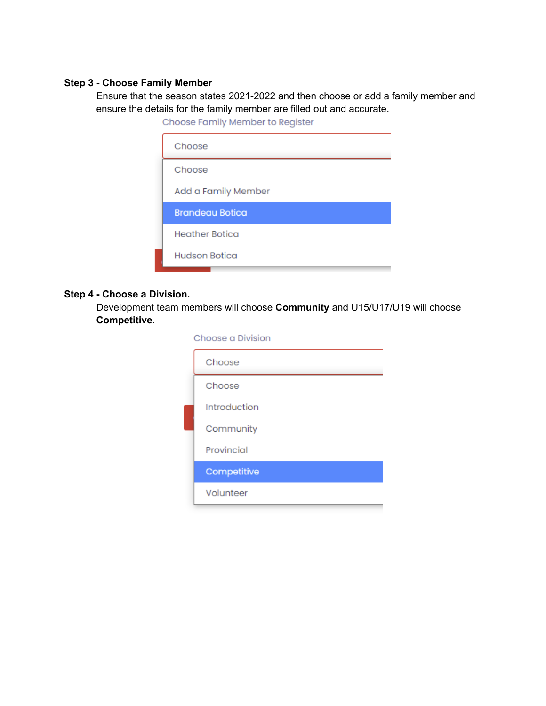#### **Step 3 - Choose Family Member**

Ensure that the season states 2021-2022 and then choose or add a family member and ensure the details for the family member are filled out and accurate.

| Choose Family Member to Register |  |
|----------------------------------|--|
| Choose                           |  |
| Choose                           |  |
| Add a Family Member              |  |
| <b>Brandeau Botica</b>           |  |
| <b>Heather Botica</b>            |  |
| Hudson Botica                    |  |
|                                  |  |

## **Step 4 - Choose a Division.**

Development team members will choose **Community** and U15/U17/U19 will choose **Competitive.**

| Choose a Division |              |
|-------------------|--------------|
|                   | Choose       |
|                   | Choose       |
|                   | Introduction |
|                   | Community    |
|                   | Provincial   |
|                   | Competitive  |
|                   | Volunteer    |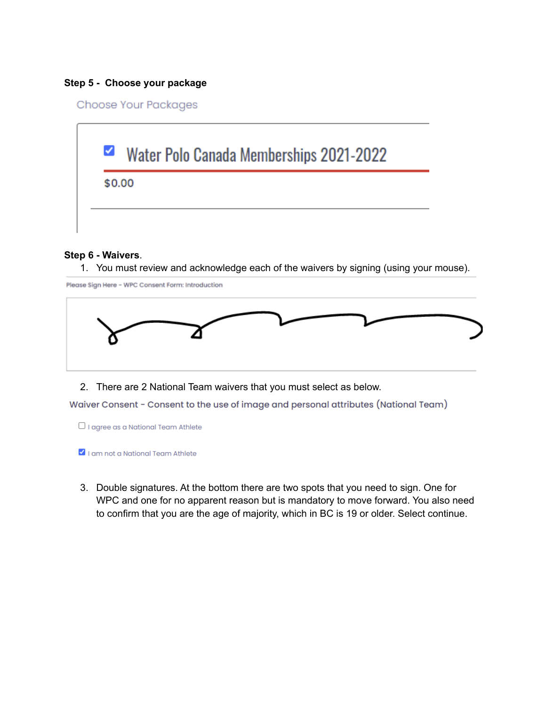### **Step 5 - Choose your package**

Choose Your Packages



#### **Step 6 - Waivers**.

1. You must review and acknowledge each of the waivers by signing (using your mouse).

Please Sign Here - WPC Consent Form: Introduction



2. There are 2 National Team waivers that you must select as below.

Waiver Consent - Consent to the use of image and personal attributes (National Team)

- $\Box$  I agree as a National Team Athlete
- I am not a National Team Athlete
- 3. Double signatures. At the bottom there are two spots that you need to sign. One for WPC and one for no apparent reason but is mandatory to move forward. You also need to confirm that you are the age of majority, which in BC is 19 or older. Select continue.